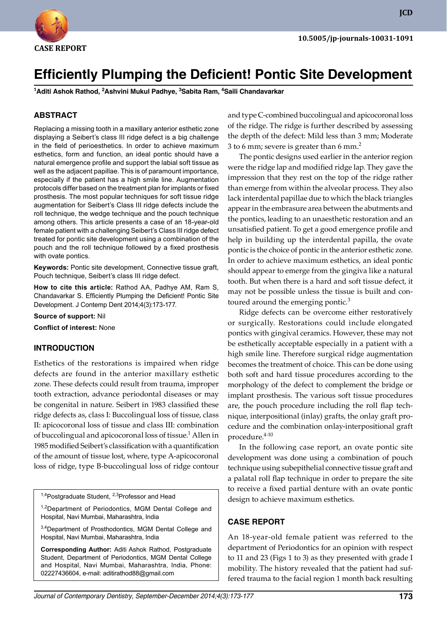

**JCD**

# **Efficiently Plumping the Deficient! Pontic Site Development**

**<sup>1</sup>Aditi Ashok Rathod, <sup>2</sup>Ashvini Mukul Padhye, <sup>3</sup>Sabita Ram, <sup>4</sup>Saili Chandavarkar**

## **ABSTRACT**

Replacing a missing tooth in a maxillary anterior esthetic zone displaying a Seibert's class III ridge defect is a big challenge in the field of perioesthetics. In order to achieve maximum esthetics, form and function, an ideal pontic should have a natural emergence profile and support the labial soft tissue as well as the adjacent papillae. This is of paramount importance, especially if the patient has a high smile line. Augmentation protocols differ based on the treatment plan for implants or fixed prosthesis. The most popular techniques for soft tissue ridge augmentation for Seibert's Class III ridge defects include the roll technique, the wedge technique and the pouch technique among others. This article presents a case of an 18-year-old female patient with a challenging Seibert's Class III ridge defect treated for pontic site development using a combination of the pouch and the roll technique followed by a fixed prosthesis with ovate pontics.

**Keywords:** Pontic site development, Connective tissue graft, Pouch technique, Seibert's class III ridge defect.

**How to cite this article:** Rathod AA, Padhye AM, Ram S, Chandavarkar S. Efficiently Plumping the Deficient! Pontic Site Development. J Contemp Dent 2014;4(3):173-177.

**Source of support:** Nil

**Conflict of interest:** None

## **InTRoDuCTIon**

Esthetics of the restorations is impaired when ridge defects are found in the anterior maxillary esthetic zone. These defects could result from trauma, improper tooth extraction, advance periodontal diseases or may be congenital in nature. Seibert in 1983 classified these ridge defects as, class I: Buccolingual loss of tissue, class II: apicocoronal loss of tissue and class III: combination of buccolingual and apicocoronal loss of tissue.<sup>1</sup> Allen in 1985 modified Seibert's classification with a quantification of the amount of tissue lost, where, type A-apicocoronal loss of ridge, type B-buccolingual loss of ridge contour

<sup>1,4</sup>Postgraduate Student, <sup>2,3</sup>Professor and Head

<sup>1,2</sup>Department of Periodontics, MGM Dental College and Hospital, Navi Mumbai, Maharashtra, India

3,4Department of Prosthodontics, MGM Dental College and Hospital, Navi Mumbai, Maharashtra, India

**Corresponding Author:** Aditi Ashok Rathod, Postgraduate Student, Department of Periodontics, MGM Dental College and Hospital, Navi Mumbai, Maharashtra, India, Phone: 02227436604, e-mail: aditirathod88@gmail.com

and type C-combined buccolingual and apicocoronal loss of the ridge. The ridge is further described by assessing the depth of the defect: Mild less than 3 mm; Moderate 3 to 6 mm; severe is greater than 6 mm. $<sup>2</sup>$ </sup>

 The pontic designs used earlier in the anterior region were the ridge lap and modified ridge lap. They gave the impression that they rest on the top of the ridge rather than emerge from within the alveolar process. They also lack interdental papillae due to which the black triangles appear in the embrasure area between the abutments and the pontics, leading to an unaesthetic restoration and an unsatisfied patient. To get a good emergence profile and help in building up the interdental papilla, the ovate pontic is the choice of pontic in the anterior esthetic zone. In order to achieve maximum esthetics, an ideal pontic should appear to emerge from the gingiva like a natural tooth. But when there is a hard and soft tissue defect, it may not be possible unless the tissue is built and contoured around the emerging pontic. $3$ 

 Ridge defects can be overcome either restoratively or surgically. Restorations could include elongated pontics with gingival ceramics. However, these may not be esthetically acceptable especially in a patient with a high smile line. Therefore surgical ridge augmentation becomes the treatment of choice. This can be done using both soft and hard tissue procedures according to the morphology of the defect to complement the bridge or implant prosthesis. The various soft tissue procedures are, the pouch procedure including the roll flap technique, interpositional (inlay) grafts, the onlay graft procedure and the combination onlay-interpositional graft procedure.<sup>4-10</sup>

 In the following case report, an ovate pontic site development was done using a combination of pouch technique using subepithelial connective tissue graft and a palatal roll flap technique in order to prepare the site to receive a fixed partial denture with an ovate pontic design to achieve maximum esthetics.

#### **CASE REPoRT**

An 18-year-old female patient was referred to the department of Periodontics for an opinion with respect to 11 and 23 (Figs 1 to 3) as they presented with grade I mobility. The history revealed that the patient had suffered trauma to the facial region 1 month back resulting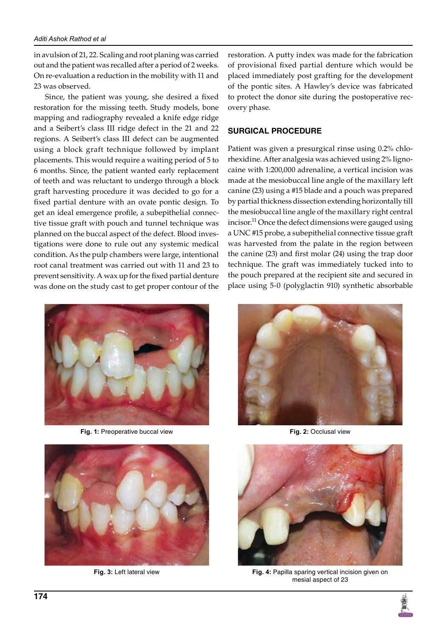in avulsion of 21, 22. Scaling and root planing was carried out and the patient was recalled after a period of 2 weeks. On re-evaluation a reduction in the mobility with 11 and 23 was observed.

 Since, the patient was young, she desired a fixed restoration for the missing teeth. Study models, bone mapping and radiography revealed a knife edge ridge and a Seibert's class III ridge defect in the 21 and 22 regions. A Seibert's class III defect can be augmented using a block graft technique followed by implant placements. This would require a waiting period of 5 to 6 months. Since, the patient wanted early replacement of teeth and was reluctant to undergo through a block graft harvesting procedure it was decided to go for a fixed partial denture with an ovate pontic design. To get an ideal emergence profile, a subepithelial connective tissue graft with pouch and tunnel technique was planned on the buccal aspect of the defect. Blood investigations were done to rule out any systemic medical condition. As the pulp chambers were large, intentional root canal treatment was carried out with 11 and 23 to prevent sensitivity. A wax up for the fixed partial denture was done on the study cast to get proper contour of the



**Fig. 1:** Preoperative buccal view **Fig. 2:** Occlusal view



restoration. A putty index was made for the fabrication of provisional fixed partial denture which would be placed immediately post grafting for the development of the pontic sites. A Hawley's device was fabricated to protect the donor site during the postoperative recovery phase.

## **SuRGICAL PRoCEDuRE**

Patient was given a presurgical rinse using 0.2% chlorhexidine. After analgesia was achieved using 2% lignocaine with 1:200,000 adrenaline, a vertical incision was made at the mesiobuccal line angle of the maxillary left canine (23) using a #15 blade and a pouch was prepared by partial thickness dissection extending horizontally till the mesiobuccal line angle of the maxillary right central incisor.<sup>11</sup> Once the defect dimensions were gauged using a UNC #15 probe, a subepithelial connective tissue graft was harvested from the palate in the region between the canine (23) and first molar (24) using the trap door technique. The graft was immediately tucked into to the pouch prepared at the recipient site and secured in place using 5-0 (polyglactin 910) synthetic absorbable





**Fig. 3:** Left lateral view **Fig. 4:** Papilla sparing vertical incision given on mesial aspect of 23

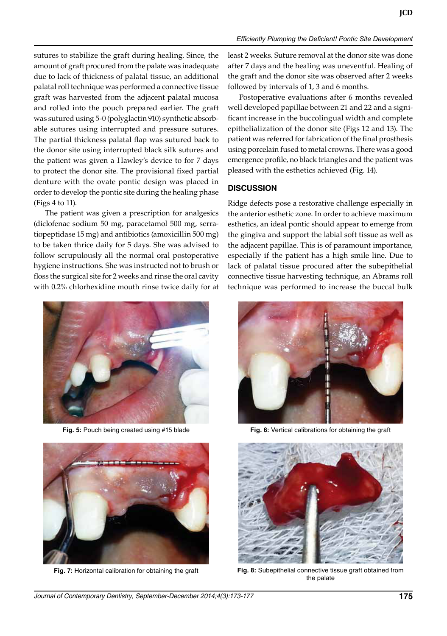sutures to stabilize the graft during healing. Since, the amount of graft procured from the palate was inadequate due to lack of thickness of palatal tissue, an additional palatal roll technique was performed a connective tissue graft was harvested from the adjacent palatal mucosa and rolled into the pouch prepared earlier. The graft was sutured using 5-0 (polyglactin 910) synthetic absorbable sutures using interrupted and pressure sutures. The partial thickness palatal flap was sutured back to the donor site using interrupted black silk sutures and the patient was given a Hawley's device to for 7 days to protect the donor site. The provisional fixed partial denture with the ovate pontic design was placed in order to develop the pontic site during the healing phase (Figs 4 to 11).

 The patient was given a prescription for analgesics (diclofenac sodium 50 mg, paracetamol 500 mg, serratiopeptidase 15 mg) and antibiotics (amoxicillin 500 mg) to be taken thrice daily for 5 days. She was advised to follow scrupulously all the normal oral postoperative hygiene instructions. She was instructed not to brush or floss the surgical site for 2 weeks and rinse the oral cavity with 0.2% chlorhexidine mouth rinse twice daily for at



**Fig. 5:** Pouch being created using #15 blade **Fig. 6:** Vertical calibrations for obtaining the graft



least 2 weeks. Suture removal at the donor site was done after 7 days and the healing was uneventful. Healing of the graft and the donor site was observed after 2 weeks followed by intervals of 1, 3 and 6 months.

 Postoperative evaluations after 6 months revealed well developed papillae between 21 and 22 and a significant increase in the buccolingual width and complete epithelialization of the donor site (Figs 12 and 13). The patient was referred for fabrication of the final prosthesis using porcelain fused to metal crowns. There was a good emergence profile, no black triangles and the patient was pleased with the esthetics achieved (Fig. 14).

#### **DISCuSSIon**

Ridge defects pose a restorative challenge especially in the anterior esthetic zone. In order to achieve maximum esthetics, an ideal pontic should appear to emerge from the gingiva and support the labial soft tissue as well as the adjacent papillae. This is of paramount importance, especially if the patient has a high smile line. Due to lack of palatal tissue procured after the subepithelial connective tissue harvesting technique, an Abrams roll technique was performed to increase the buccal bulk





**Fig. 7:** Horizontal calibration for obtaining the graft **Fig. 8:** Subepithelial connective tissue graft obtained from the palate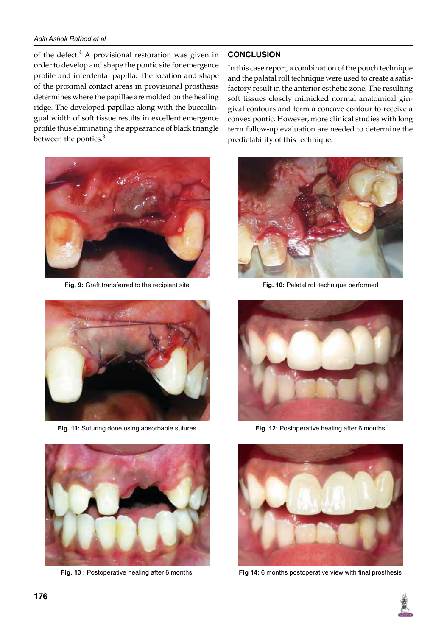## *Aditi Ashok Rathod et al*

of the defect.<sup>4</sup> A provisional restoration was given in order to develop and shape the pontic site for emergence profile and interdental papilla. The location and shape of the proximal contact areas in provisional prosthesis determines where the papillae are molded on the healing ridge. The developed papillae along with the buccolingual width of soft tissue results in excellent emergence profile thus eliminating the appearance of black triangle between the pontics.<sup>3</sup>



**Fig. 9:** Graft transferred to the recipient site **Fig. 10:** Palatal roll technique performed



**Fig. 11:** Suturing done using absorbable sutures



# **ConCLuSIon**

In this case report, a combination of the pouch technique and the palatal roll technique were used to create a satisfactory result in the anterior esthetic zone. The resulting soft tissues closely mimicked normal anatomical gingival contours and form a concave contour to receive a convex pontic. However, more clinical studies with long term follow-up evaluation are needed to determine the predictability of this technique.





**Fig. 12:** Postoperative healing after 6 months



**Fig. 13 :** Postoperative healing after 6 months **Fig 14:** 6 months postoperative view with final prosthesis